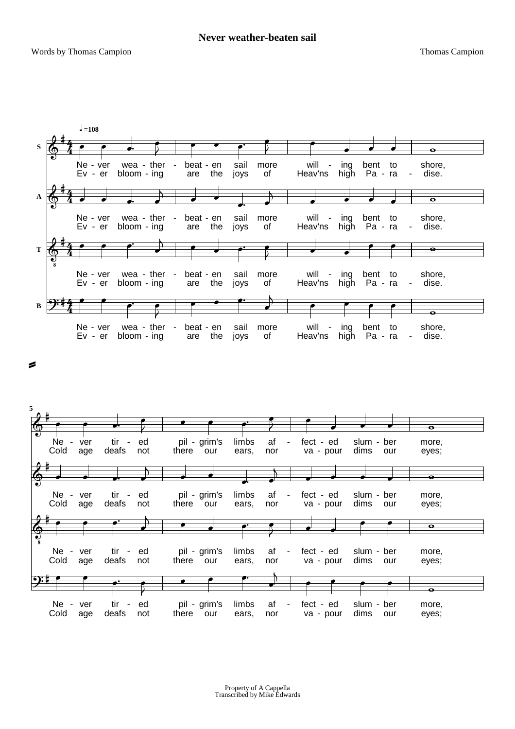€